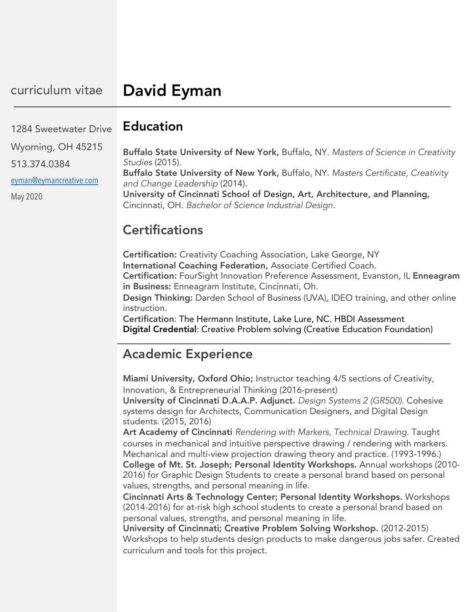#### Education 1284 Sweetwater Drive

| Wyoming, OH 45215       | Buffalo State University of New York, Buffalo, NY. Masters of Science in Creativity                                                   |
|-------------------------|---------------------------------------------------------------------------------------------------------------------------------------|
| 513.374.0384            | Studies (2015).                                                                                                                       |
| eyman@eymancreative.com | Buffalo State University of New York, Buffalo, NY. Masters Certificate, Creativity<br>and Change Leadership (2014).                   |
| May 2020                | University of Cincinnati School of Design, Art, Architecture, and Planning,<br>Cincinnati, OH. Bachelor of Science Industrial Design. |

#### **Certifications**

Certification: Creativity Coaching Association, Lake George, NY International Coaching Federation, Associate Certified Coach. Certification: FourSight Innovation Preference Assessment, Evanston, IL Enneagram in Business: Enneagram Institute, Cincinnati, Oh. Design Thinking: Darden School of Business (UVA), IDEO training, and other online instruction.

Certification: The Hermann Institute, Lake Lure, NC. HBDI Assessment Digital Credential: Creative Problem solving (Creative Education Foundation)

## Academic Experience

Miami University, Oxford Ohio; Instructor teaching 4/5 sections of Creativity, Innovation, & Entrepreneurial Thinking (2016-present) University of Cincinnati D.A.A.P. Adjunct. *Design Systems 2 (GR500).* Cohesive

systems design for Architects, Communication Designers, and Digital Design students. (2015, 2016)

Art Academy of Cincinnati *Rendering with Markers, Technical Drawing.* Taught courses in mechanical and intuitive perspective drawing / rendering with markers. Mechanical and multi-view projection drawing theory and practice. (1993-1996.) College of Mt. St. Joseph; Personal Identity Workshops. Annual workshops (2010- 2016) for Graphic Design Students to create a personal brand based on personal values, strengths, and personal meaning in life.

Cincinnati Arts & Technology Center; Personal Identity Workshops. Workshops (2014-2016) for at-risk high school students to create a personal brand based on personal values, strengths, and personal meaning in life.

University of Cincinnati; Creative Problem Solving Workshop. (2012-2015) Workshops to help students design products to make dangerous jobs safer. Created curriculum and tools for this project.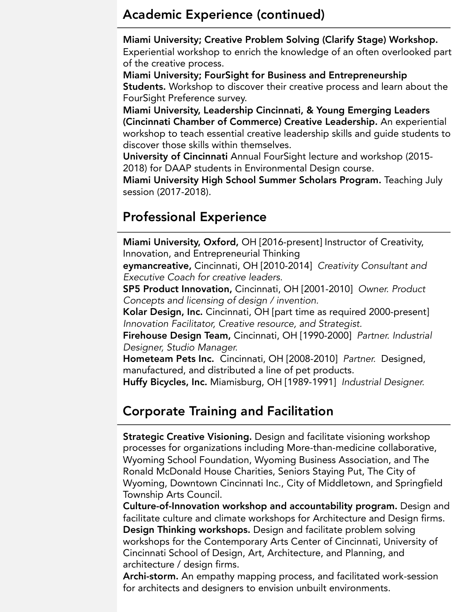#### Academic Experience (continued)

Miami University; Creative Problem Solving (Clarify Stage) Workshop.

Experiential workshop to enrich the knowledge of an often overlooked part of the creative process.

Miami University; FourSight for Business and Entrepreneurship Students. Workshop to discover their creative process and learn about the FourSight Preference survey.

Miami University, Leadership Cincinnati, & Young Emerging Leaders (Cincinnati Chamber of Commerce) Creative Leadership. An experiential workshop to teach essential creative leadership skills and guide students to discover those skills within themselves.

University of Cincinnati Annual FourSight lecture and workshop (2015- 2018) for DAAP students in Environmental Design course.

Miami University High School Summer Scholars Program. Teaching July session (2017-2018).

# Professional Experience

Miami University, Oxford, OH [2016-present] Instructor of Creativity, Innovation, and Entrepreneurial Thinking

eymancreative, Cincinnati, OH [2010-2014] *Creativity Consultant and Executive Coach for creative leaders.*

SP5 Product Innovation, Cincinnati, OH [2001-2010] *Owner. Product Concepts and licensing of design / invention.*

Kolar Design, Inc. Cincinnati, OH [part time as required 2000-present] *Innovation Facilitator, Creative resource, and Strategist.*

Firehouse Design Team, Cincinnati, OH [1990-2000] *Partner. Industrial Designer, Studio Manager.*

Hometeam Pets Inc. Cincinnati, OH [2008-2010] *Partner.* Designed, manufactured, and distributed a line of pet products.

Huffy Bicycles, Inc. Miamisburg, OH [1989-1991] *Industrial Designer.*

# Corporate Training and Facilitation

Strategic Creative Visioning. Design and facilitate visioning workshop processes for organizations including More-than-medicine collaborative, Wyoming School Foundation, Wyoming Business Association, and The Ronald McDonald House Charities, Seniors Staying Put, The City of Wyoming, Downtown Cincinnati Inc., City of Middletown, and Springfield Township Arts Council.

Culture-of-Innovation workshop and accountability program. Design and facilitate culture and climate workshops for Architecture and Design firms. Design Thinking workshops. Design and facilitate problem solving workshops for the Contemporary Arts Center of Cincinnati, University of Cincinnati School of Design, Art, Architecture, and Planning, and architecture / design firms.

Archi-storm. An empathy mapping process, and facilitated work-session for architects and designers to envision unbuilt environments.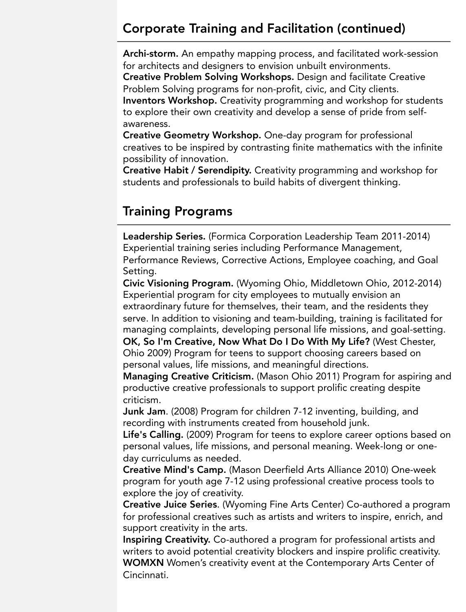#### Corporate Training and Facilitation (continued)

Archi-storm. An empathy mapping process, and facilitated work-session for architects and designers to envision unbuilt environments. Creative Problem Solving Workshops. Design and facilitate Creative Problem Solving programs for non-profit, civic, and City clients. Inventors Workshop. Creativity programming and workshop for students to explore their own creativity and develop a sense of pride from selfawareness.

Creative Geometry Workshop. One-day program for professional creatives to be inspired by contrasting finite mathematics with the infinite possibility of innovation.

Creative Habit / Serendipity. Creativity programming and workshop for students and professionals to build habits of divergent thinking.

### Training Programs

Leadership Series. (Formica Corporation Leadership Team 2011-2014) Experiential training series including Performance Management, Performance Reviews, Corrective Actions, Employee coaching, and Goal Setting.

Civic Visioning Program. (Wyoming Ohio, Middletown Ohio, 2012-2014) Experiential program for city employees to mutually envision an extraordinary future for themselves, their team, and the residents they serve. In addition to visioning and team-building, training is facilitated for managing complaints, developing personal life missions, and goal-setting. OK, So I'm Creative, Now What Do I Do With My Life? (West Chester,

Ohio 2009) Program for teens to support choosing careers based on personal values, life missions, and meaningful directions.

Managing Creative Criticism. (Mason Ohio 2011) Program for aspiring and productive creative professionals to support prolific creating despite criticism.

Junk Jam. (2008) Program for children 7-12 inventing, building, and recording with instruments created from household junk.

Life's Calling. (2009) Program for teens to explore career options based on personal values, life missions, and personal meaning. Week-long or oneday curriculums as needed.

Creative Mind's Camp. (Mason Deerfield Arts Alliance 2010) One-week program for youth age 7-12 using professional creative process tools to explore the joy of creativity.

Creative Juice Series. (Wyoming Fine Arts Center) Co-authored a program for professional creatives such as artists and writers to inspire, enrich, and support creativity in the arts.

Inspiring Creativity. Co-authored a program for professional artists and writers to avoid potential creativity blockers and inspire prolific creativity. WOMXN Women's creativity event at the Contemporary Arts Center of Cincinnati.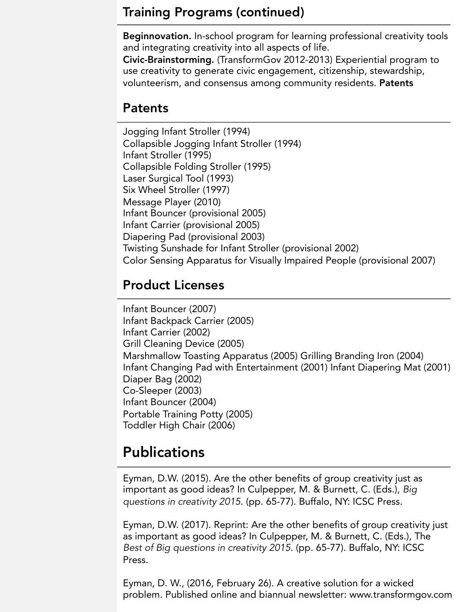#### Training Programs (continued)

Beginnovation. In-school program for learning professional creativity tools and integrating creativity into all aspects of life.

Civic-Brainstorming. (TransformGov 2012-2013) Experiential program to use creativity to generate civic engagement, citizenship, stewardship, volunteerism, and consensus among community residents. Patents

## Patents

Jogging Infant Stroller (1994) Collapsible Jogging Infant Stroller (1994) Infant Stroller (1995) Collapsible Folding Stroller (1995) Laser Surgical Tool (1993) Six Wheel Stroller (1997) Message Player (2010) Infant Bouncer (provisional 2005) Infant Carrier (provisional 2005) Diapering Pad (provisional 2003) Twisting Sunshade for Infant Stroller (provisional 2002) Color Sensing Apparatus for Visually Impaired People (provisional 2007)

# Product Licenses

Infant Bouncer (2007) Infant Backpack Carrier (2005) Infant Carrier (2002) Grill Cleaning Device (2005) Marshmallow Toasting Apparatus (2005) Grilling Branding Iron (2004) Infant Changing Pad with Entertainment (2001) Infant Diapering Mat (2001) Diaper Bag (2002) Co-Sleeper (2003) Infant Bouncer (2004) Portable Training Potty (2005) Toddler High Chair (2006)

# **Publications**

Eyman, D.W. (2015). Are the other benefits of group creativity just as important as good ideas? In Culpepper, M. & Burnett, C. (Eds.), *Big questions in creativity 2015*. (pp. 65-77). Buffalo, NY: ICSC Press.

Eyman, D.W. (2017). Reprint: Are the other benefits of group creativity just as important as good ideas? In Culpepper, M. & Burnett, C. (Eds.), The *Best of Big questions in creativity 2015*. (pp. 65-77). Buffalo, NY: ICSC Press.

Eyman, D. W., (2016, February 26). A creative solution for a wicked problem. Published online and biannual newsletter: www.transformgov.com